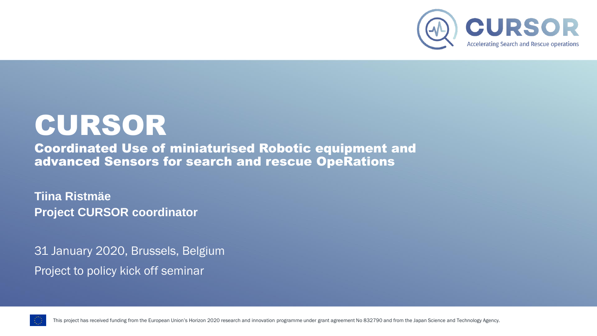

# CURSOR

Coordinated Use of miniaturised Robotic equipment and advanced Sensors for search and rescue OpeRations

**Tiina Ristmäe Project CURSOR coordinator**

31 January 2020, Brussels, Belgium Project to policy kick off seminar



This project has received funding from the European Union's Horizon 2020 research and innovation programme under grant agreement No 832790 and from the Japan Science and Technology Agency.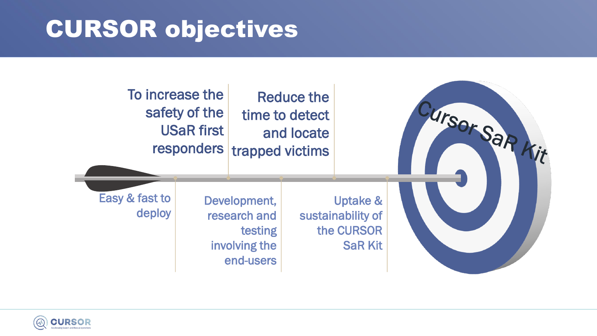# CURSOR objectives



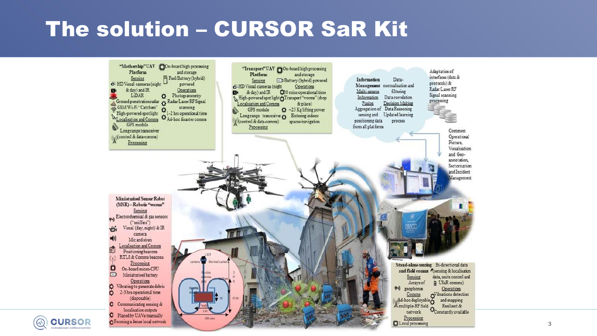#### The solution - CURSOR SaR Kit



**CURSOR**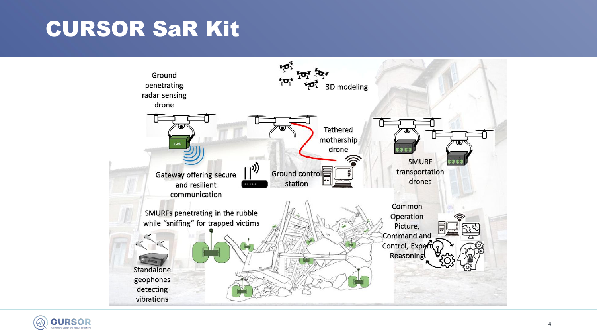## **CURSOR SaR Kit**



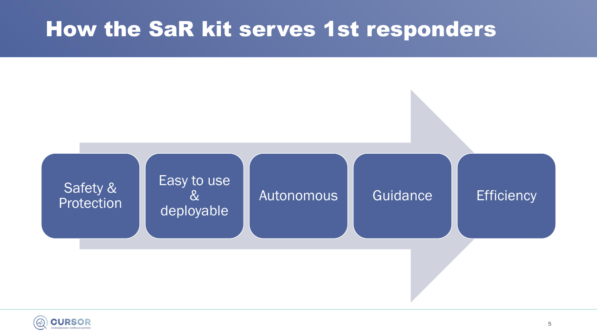#### How the SaR kit serves 1st responders



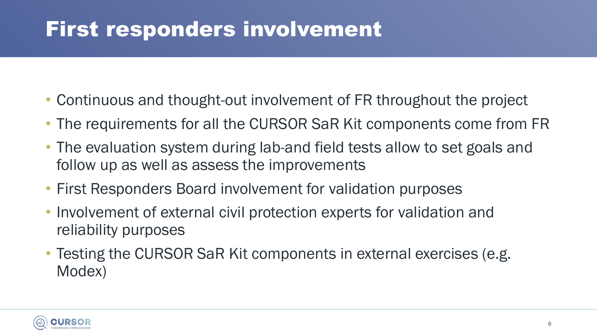### First responders involvement

- Continuous and thought-out involvement of FR throughout the project
- The requirements for all the CURSOR SaR Kit components come from FR
- The evaluation system during lab-and field tests allow to set goals and follow up as well as assess the improvements
- First Responders Board involvement for validation purposes
- Involvement of external civil protection experts for validation and reliability purposes
- Testing the CURSOR SaR Kit components in external exercises (e.g. Modex)

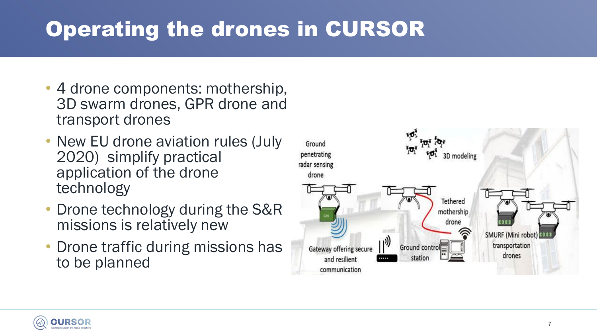# Operating the drones in CURSOR

- 4 drone components: mothership, 3D swarm drones, GPR drone and transport drones
- New EU drone aviation rules (July 2020) simplify practical application of the drone technology
- Drone technology during the S&R missions is relatively new
- Drone traffic during missions has to be planned



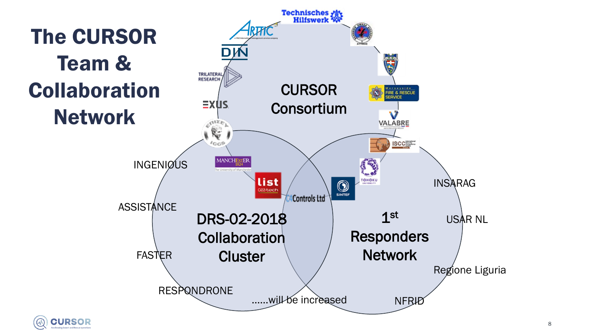

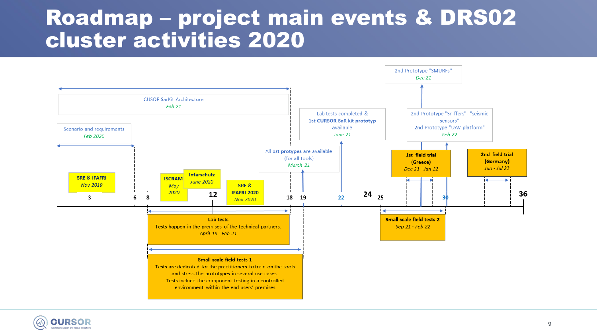#### Roadmap - project main events & DRS02 **cluster activities 2020**



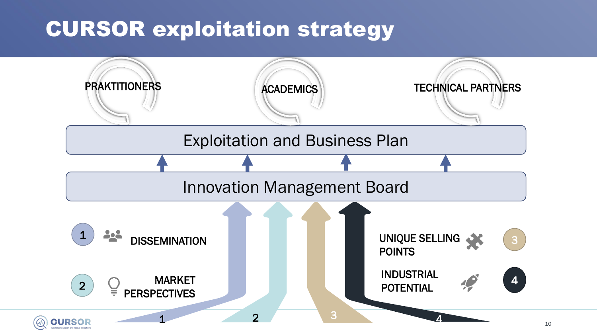## CURSOR exploitation strategy

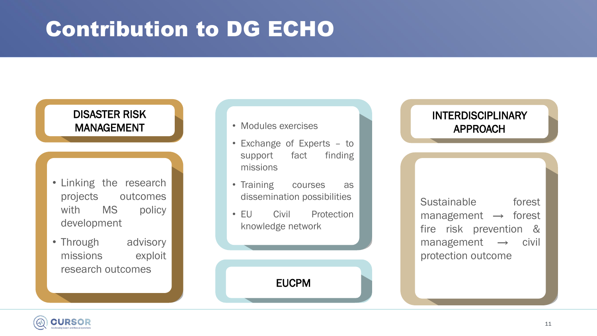## Contribution to DG ECHO

#### DISASTER RISK MANAGEMENT

- Linking the research projects outcomes with MS policy development
- Through advisory missions exploit research outcomes
- Modules exercises
- Exchange of Experts to support fact finding missions
- Training courses as dissemination possibilities
- EU Civil Protection knowledge network

EUCPM

#### INTERDISCIPLINARY APPROACH

Sustainable forest management  $\rightarrow$  forest fire risk prevention & management  $\rightarrow$  civil protection outcome